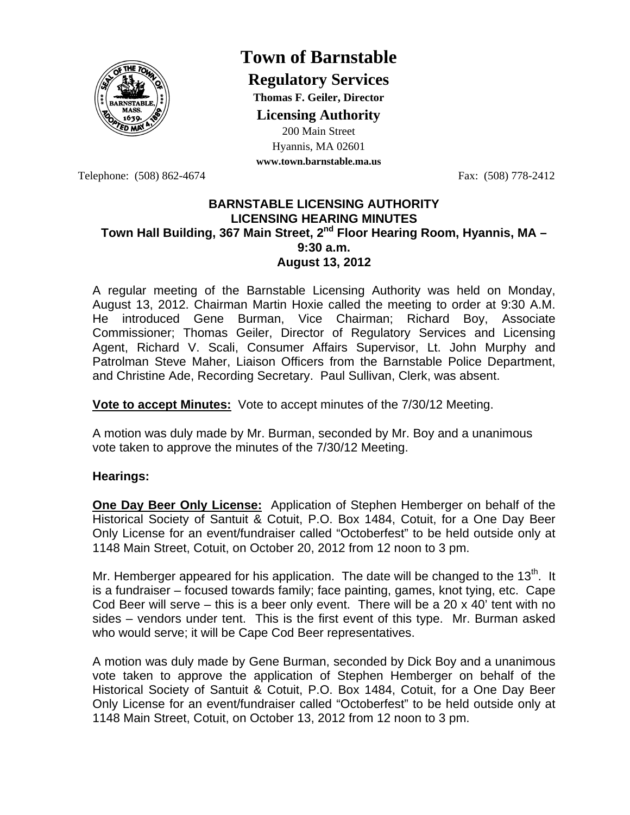

## **Town of Barnstable**

**Regulatory Services**

**Thomas F. Geiler, Director** 

**Licensing Authority**

200 Main Street Hyannis, MA 02601 **www.town.barnstable.ma.us**

Telephone: (508) 862-4674 Fax: (508) 778-2412

## **BARNSTABLE LICENSING AUTHORITY LICENSING HEARING MINUTES**  Town Hall Building, 367 Main Street, 2<sup>nd</sup> Floor Hearing Room, Hyannis, MA -**9:30 a.m. August 13, 2012**

A regular meeting of the Barnstable Licensing Authority was held on Monday, August 13, 2012. Chairman Martin Hoxie called the meeting to order at 9:30 A.M. He introduced Gene Burman, Vice Chairman; Richard Boy, Associate Commissioner; Thomas Geiler, Director of Regulatory Services and Licensing Agent, Richard V. Scali, Consumer Affairs Supervisor, Lt. John Murphy and Patrolman Steve Maher, Liaison Officers from the Barnstable Police Department, and Christine Ade, Recording Secretary. Paul Sullivan, Clerk, was absent.

**Vote to accept Minutes:** Vote to accept minutes of the 7/30/12 Meeting.

A motion was duly made by Mr. Burman, seconded by Mr. Boy and a unanimous vote taken to approve the minutes of the 7/30/12 Meeting.

## **Hearings:**

**One Day Beer Only License:** Application of Stephen Hemberger on behalf of the Historical Society of Santuit & Cotuit, P.O. Box 1484, Cotuit, for a One Day Beer Only License for an event/fundraiser called "Octoberfest" to be held outside only at 1148 Main Street, Cotuit, on October 20, 2012 from 12 noon to 3 pm.

Mr. Hemberger appeared for his application. The date will be changed to the 13 $<sup>m</sup>$ . It</sup> is a fundraiser – focused towards family; face painting, games, knot tying, etc. Cape Cod Beer will serve  $-$  this is a beer only event. There will be a 20 x 40' tent with no sides – vendors under tent. This is the first event of this type. Mr. Burman asked who would serve; it will be Cape Cod Beer representatives.

A motion was duly made by Gene Burman, seconded by Dick Boy and a unanimous vote taken to approve the application of Stephen Hemberger on behalf of the Historical Society of Santuit & Cotuit, P.O. Box 1484, Cotuit, for a One Day Beer Only License for an event/fundraiser called "Octoberfest" to be held outside only at 1148 Main Street, Cotuit, on October 13, 2012 from 12 noon to 3 pm.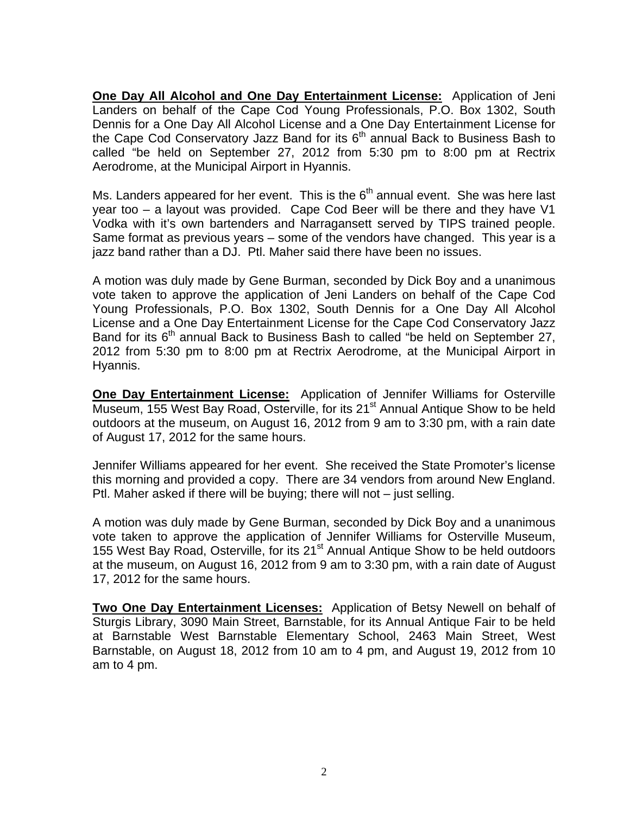**One Day All Alcohol and One Day Entertainment License:** Application of Jeni Landers on behalf of the Cape Cod Young Professionals, P.O. Box 1302, South Dennis for a One Day All Alcohol License and a One Day Entertainment License for the Cape Cod Conservatory Jazz Band for its  $6<sup>th</sup>$  annual Back to Business Bash to called "be held on September 27, 2012 from 5:30 pm to 8:00 pm at Rectrix Aerodrome, at the Municipal Airport in Hyannis.

Ms. Landers appeared for her event. This is the  $6<sup>th</sup>$  annual event. She was here last year too – a layout was provided. Cape Cod Beer will be there and they have V1 Vodka with it's own bartenders and Narragansett served by TIPS trained people. Same format as previous years – some of the vendors have changed. This year is a jazz band rather than a DJ. Ptl. Maher said there have been no issues.

A motion was duly made by Gene Burman, seconded by Dick Boy and a unanimous vote taken to approve the application of Jeni Landers on behalf of the Cape Cod Young Professionals, P.O. Box 1302, South Dennis for a One Day All Alcohol License and a One Day Entertainment License for the Cape Cod Conservatory Jazz Band for its  $6<sup>th</sup>$  annual Back to Business Bash to called "be held on September 27, 2012 from 5:30 pm to 8:00 pm at Rectrix Aerodrome, at the Municipal Airport in Hyannis.

**One Day Entertainment License:** Application of Jennifer Williams for Osterville Museum, 155 West Bay Road, Osterville, for its 21<sup>st</sup> Annual Antique Show to be held outdoors at the museum, on August 16, 2012 from 9 am to 3:30 pm, with a rain date of August 17, 2012 for the same hours.

Jennifer Williams appeared for her event. She received the State Promoter's license this morning and provided a copy. There are 34 vendors from around New England. Ptl. Maher asked if there will be buying; there will not – just selling.

A motion was duly made by Gene Burman, seconded by Dick Boy and a unanimous vote taken to approve the application of Jennifer Williams for Osterville Museum, 155 West Bay Road, Osterville, for its 21<sup>st</sup> Annual Antique Show to be held outdoors at the museum, on August 16, 2012 from 9 am to 3:30 pm, with a rain date of August 17, 2012 for the same hours.

**Two One Day Entertainment Licenses:** Application of Betsy Newell on behalf of Sturgis Library, 3090 Main Street, Barnstable, for its Annual Antique Fair to be held at Barnstable West Barnstable Elementary School, 2463 Main Street, West Barnstable, on August 18, 2012 from 10 am to 4 pm, and August 19, 2012 from 10 am to 4 pm.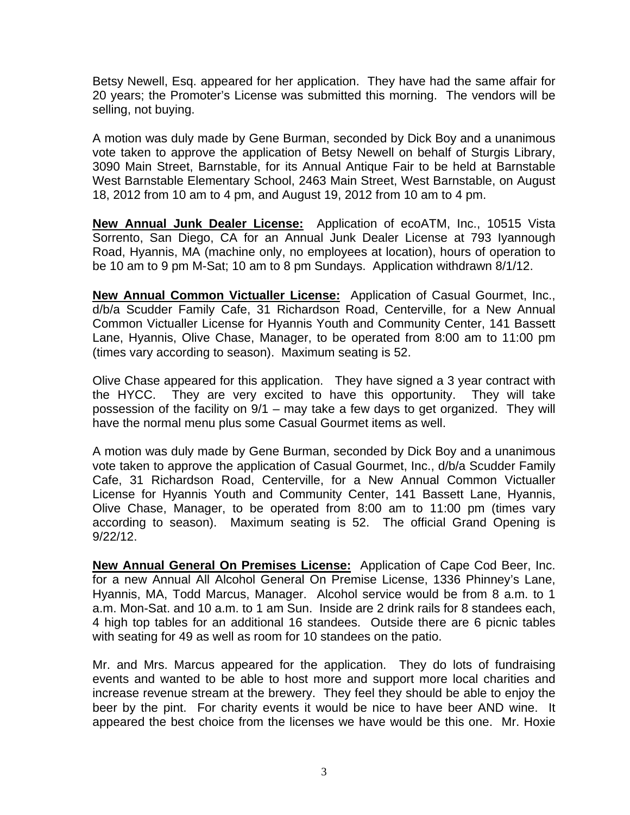Betsy Newell, Esq. appeared for her application. They have had the same affair for 20 years; the Promoter's License was submitted this morning. The vendors will be selling, not buying.

A motion was duly made by Gene Burman, seconded by Dick Boy and a unanimous vote taken to approve the application of Betsy Newell on behalf of Sturgis Library, 3090 Main Street, Barnstable, for its Annual Antique Fair to be held at Barnstable West Barnstable Elementary School, 2463 Main Street, West Barnstable, on August 18, 2012 from 10 am to 4 pm, and August 19, 2012 from 10 am to 4 pm.

**New Annual Junk Dealer License:** Application of ecoATM, Inc., 10515 Vista Sorrento, San Diego, CA for an Annual Junk Dealer License at 793 Iyannough Road, Hyannis, MA (machine only, no employees at location), hours of operation to be 10 am to 9 pm M-Sat; 10 am to 8 pm Sundays. Application withdrawn 8/1/12.

**New Annual Common Victualler License:** Application of Casual Gourmet, Inc., d/b/a Scudder Family Cafe, 31 Richardson Road, Centerville, for a New Annual Common Victualler License for Hyannis Youth and Community Center, 141 Bassett Lane, Hyannis, Olive Chase, Manager, to be operated from 8:00 am to 11:00 pm (times vary according to season). Maximum seating is 52.

Olive Chase appeared for this application. They have signed a 3 year contract with the HYCC. They are very excited to have this opportunity. They will take possession of the facility on 9/1 – may take a few days to get organized. They will have the normal menu plus some Casual Gourmet items as well.

A motion was duly made by Gene Burman, seconded by Dick Boy and a unanimous vote taken to approve the application of Casual Gourmet, Inc., d/b/a Scudder Family Cafe, 31 Richardson Road, Centerville, for a New Annual Common Victualler License for Hyannis Youth and Community Center, 141 Bassett Lane, Hyannis, Olive Chase, Manager, to be operated from 8:00 am to 11:00 pm (times vary according to season). Maximum seating is 52. The official Grand Opening is 9/22/12.

**New Annual General On Premises License:** Application of Cape Cod Beer, Inc. for a new Annual All Alcohol General On Premise License, 1336 Phinney's Lane, Hyannis, MA, Todd Marcus, Manager. Alcohol service would be from 8 a.m. to 1 a.m. Mon-Sat. and 10 a.m. to 1 am Sun. Inside are 2 drink rails for 8 standees each, 4 high top tables for an additional 16 standees. Outside there are 6 picnic tables with seating for 49 as well as room for 10 standees on the patio.

Mr. and Mrs. Marcus appeared for the application. They do lots of fundraising events and wanted to be able to host more and support more local charities and increase revenue stream at the brewery. They feel they should be able to enjoy the beer by the pint. For charity events it would be nice to have beer AND wine. It appeared the best choice from the licenses we have would be this one. Mr. Hoxie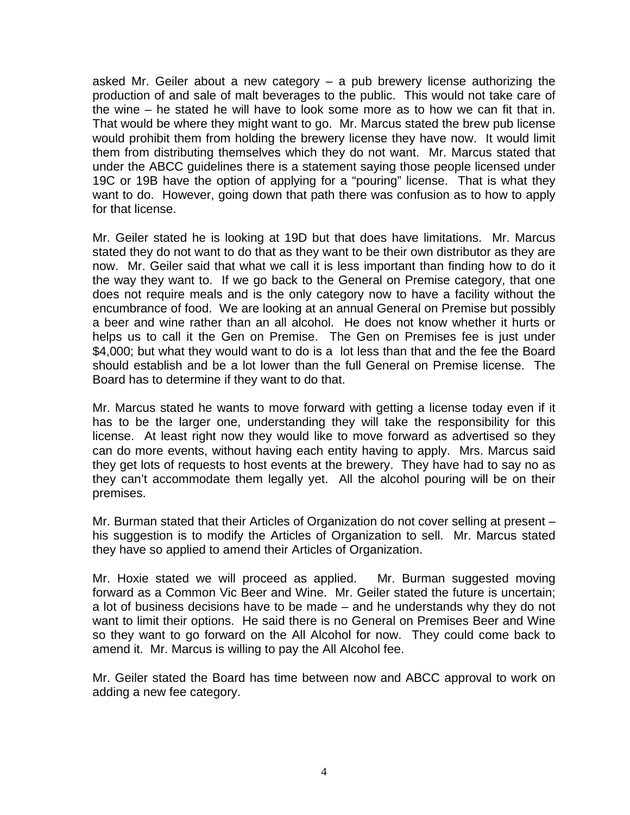asked Mr. Geiler about a new category – a pub brewery license authorizing the production of and sale of malt beverages to the public. This would not take care of the wine – he stated he will have to look some more as to how we can fit that in. That would be where they might want to go. Mr. Marcus stated the brew pub license would prohibit them from holding the brewery license they have now. It would limit them from distributing themselves which they do not want. Mr. Marcus stated that under the ABCC guidelines there is a statement saying those people licensed under 19C or 19B have the option of applying for a "pouring" license. That is what they want to do. However, going down that path there was confusion as to how to apply for that license.

Mr. Geiler stated he is looking at 19D but that does have limitations. Mr. Marcus stated they do not want to do that as they want to be their own distributor as they are now. Mr. Geiler said that what we call it is less important than finding how to do it the way they want to. If we go back to the General on Premise category, that one does not require meals and is the only category now to have a facility without the encumbrance of food. We are looking at an annual General on Premise but possibly a beer and wine rather than an all alcohol. He does not know whether it hurts or helps us to call it the Gen on Premise. The Gen on Premises fee is just under \$4,000; but what they would want to do is a lot less than that and the fee the Board should establish and be a lot lower than the full General on Premise license. The Board has to determine if they want to do that.

Mr. Marcus stated he wants to move forward with getting a license today even if it has to be the larger one, understanding they will take the responsibility for this license. At least right now they would like to move forward as advertised so they can do more events, without having each entity having to apply. Mrs. Marcus said they get lots of requests to host events at the brewery. They have had to say no as they can't accommodate them legally yet. All the alcohol pouring will be on their premises.

Mr. Burman stated that their Articles of Organization do not cover selling at present – his suggestion is to modify the Articles of Organization to sell. Mr. Marcus stated they have so applied to amend their Articles of Organization.

Mr. Hoxie stated we will proceed as applied. Mr. Burman suggested moving forward as a Common Vic Beer and Wine. Mr. Geiler stated the future is uncertain; a lot of business decisions have to be made – and he understands why they do not want to limit their options. He said there is no General on Premises Beer and Wine so they want to go forward on the All Alcohol for now. They could come back to amend it. Mr. Marcus is willing to pay the All Alcohol fee.

Mr. Geiler stated the Board has time between now and ABCC approval to work on adding a new fee category.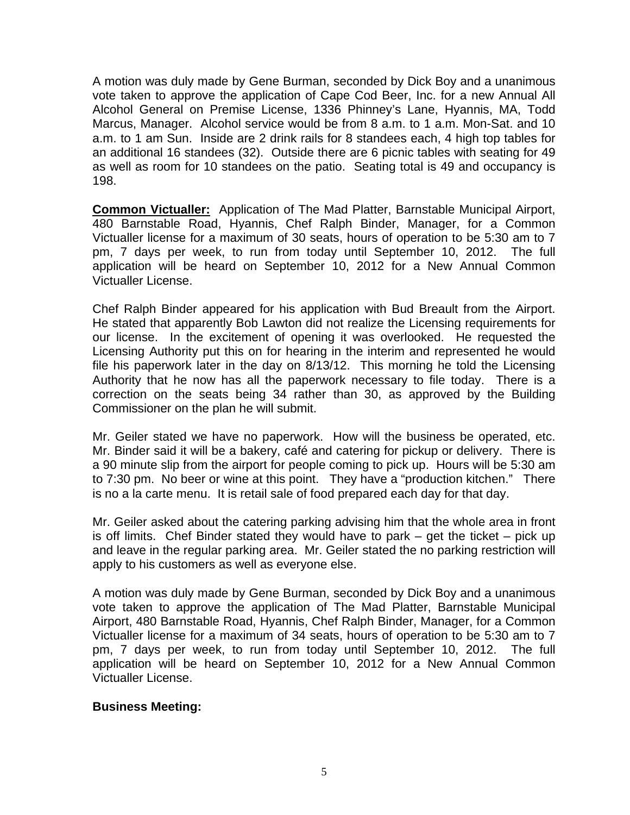A motion was duly made by Gene Burman, seconded by Dick Boy and a unanimous vote taken to approve the application of Cape Cod Beer, Inc. for a new Annual All Alcohol General on Premise License, 1336 Phinney's Lane, Hyannis, MA, Todd Marcus, Manager. Alcohol service would be from 8 a.m. to 1 a.m. Mon-Sat. and 10 a.m. to 1 am Sun. Inside are 2 drink rails for 8 standees each, 4 high top tables for an additional 16 standees (32). Outside there are 6 picnic tables with seating for 49 as well as room for 10 standees on the patio. Seating total is 49 and occupancy is 198.

**Common Victualler:** Application of The Mad Platter, Barnstable Municipal Airport, 480 Barnstable Road, Hyannis, Chef Ralph Binder, Manager, for a Common Victualler license for a maximum of 30 seats, hours of operation to be 5:30 am to 7 pm, 7 days per week, to run from today until September 10, 2012. The full application will be heard on September 10, 2012 for a New Annual Common Victualler License.

Chef Ralph Binder appeared for his application with Bud Breault from the Airport. He stated that apparently Bob Lawton did not realize the Licensing requirements for our license. In the excitement of opening it was overlooked. He requested the Licensing Authority put this on for hearing in the interim and represented he would file his paperwork later in the day on 8/13/12. This morning he told the Licensing Authority that he now has all the paperwork necessary to file today. There is a correction on the seats being 34 rather than 30, as approved by the Building Commissioner on the plan he will submit.

Mr. Geiler stated we have no paperwork. How will the business be operated, etc. Mr. Binder said it will be a bakery, café and catering for pickup or delivery. There is a 90 minute slip from the airport for people coming to pick up. Hours will be 5:30 am to 7:30 pm. No beer or wine at this point. They have a "production kitchen." There is no a la carte menu. It is retail sale of food prepared each day for that day.

Mr. Geiler asked about the catering parking advising him that the whole area in front is off limits. Chef Binder stated they would have to park – get the ticket – pick up and leave in the regular parking area. Mr. Geiler stated the no parking restriction will apply to his customers as well as everyone else.

A motion was duly made by Gene Burman, seconded by Dick Boy and a unanimous vote taken to approve the application of The Mad Platter, Barnstable Municipal Airport, 480 Barnstable Road, Hyannis, Chef Ralph Binder, Manager, for a Common Victualler license for a maximum of 34 seats, hours of operation to be 5:30 am to 7 pm, 7 days per week, to run from today until September 10, 2012. The full application will be heard on September 10, 2012 for a New Annual Common Victualler License.

## **Business Meeting:**